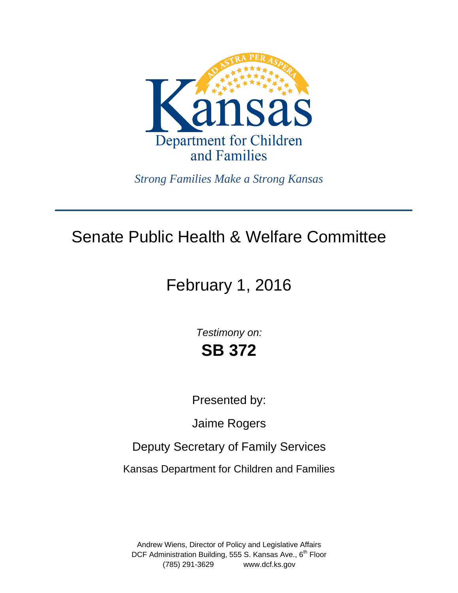

*Strong Families Make a Strong Kansas*

# Senate Public Health & Welfare Committee

# February 1, 2016

*Testimony on:* **SB 372**

Presented by:

Jaime Rogers

Deputy Secretary of Family Services

Kansas Department for Children and Families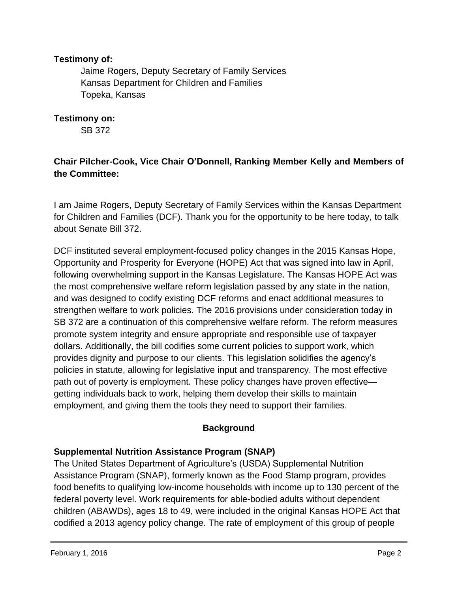#### **Testimony of:**

 Jaime Rogers, Deputy Secretary of Family Services Kansas Department for Children and Families Topeka, Kansas

**Testimony on:** 

SB 372

### **Chair Pilcher-Cook, Vice Chair O'Donnell, Ranking Member Kelly and Members of the Committee:**

I am Jaime Rogers, Deputy Secretary of Family Services within the Kansas Department for Children and Families (DCF). Thank you for the opportunity to be here today, to talk about Senate Bill 372.

DCF instituted several employment-focused policy changes in the 2015 Kansas Hope, Opportunity and Prosperity for Everyone (HOPE) Act that was signed into law in April, following overwhelming support in the Kansas Legislature. The Kansas HOPE Act was the most comprehensive welfare reform legislation passed by any state in the nation, and was designed to codify existing DCF reforms and enact additional measures to strengthen welfare to work policies. The 2016 provisions under consideration today in SB 372 are a continuation of this comprehensive welfare reform. The reform measures promote system integrity and ensure appropriate and responsible use of taxpayer dollars. Additionally, the bill codifies some current policies to support work, which provides dignity and purpose to our clients. This legislation solidifies the agency's policies in statute, allowing for legislative input and transparency. The most effective path out of poverty is employment. These policy changes have proven effective getting individuals back to work, helping them develop their skills to maintain employment, and giving them the tools they need to support their families.

#### **Background**

#### **Supplemental Nutrition Assistance Program (SNAP)**

The United States Department of Agriculture's (USDA) Supplemental Nutrition Assistance Program (SNAP), formerly known as the Food Stamp program, provides food benefits to qualifying low-income households with income up to 130 percent of the federal poverty level. Work requirements for able-bodied adults without dependent children (ABAWDs), ages 18 to 49, were included in the original Kansas HOPE Act that codified a 2013 agency policy change. The rate of employment of this group of people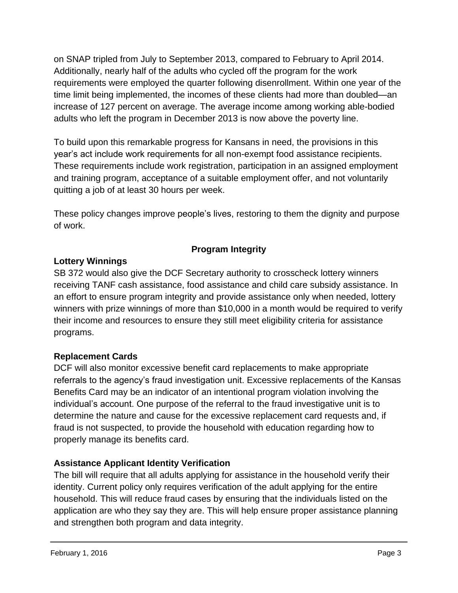on SNAP tripled from July to September 2013, compared to February to April 2014. Additionally, nearly half of the adults who cycled off the program for the work requirements were employed the quarter following disenrollment. Within one year of the time limit being implemented, the incomes of these clients had more than doubled—an increase of 127 percent on average. The average income among working able-bodied adults who left the program in December 2013 is now above the poverty line.

To build upon this remarkable progress for Kansans in need, the provisions in this year's act include work requirements for all non-exempt food assistance recipients. These requirements include work registration, participation in an assigned employment and training program, acceptance of a suitable employment offer, and not voluntarily quitting a job of at least 30 hours per week.

These policy changes improve people's lives, restoring to them the dignity and purpose of work.

## **Program Integrity**

## **Lottery Winnings**

SB 372 would also give the DCF Secretary authority to crosscheck lottery winners receiving TANF cash assistance, food assistance and child care subsidy assistance. In an effort to ensure program integrity and provide assistance only when needed, lottery winners with prize winnings of more than \$10,000 in a month would be required to verify their income and resources to ensure they still meet eligibility criteria for assistance programs.

## **Replacement Cards**

DCF will also monitor excessive benefit card replacements to make appropriate referrals to the agency's fraud investigation unit. Excessive replacements of the Kansas Benefits Card may be an indicator of an intentional program violation involving the individual's account. One purpose of the referral to the fraud investigative unit is to determine the nature and cause for the excessive replacement card requests and, if fraud is not suspected, to provide the household with education regarding how to properly manage its benefits card.

## **Assistance Applicant Identity Verification**

The bill will require that all adults applying for assistance in the household verify their identity. Current policy only requires verification of the adult applying for the entire household. This will reduce fraud cases by ensuring that the individuals listed on the application are who they say they are. This will help ensure proper assistance planning and strengthen both program and data integrity.